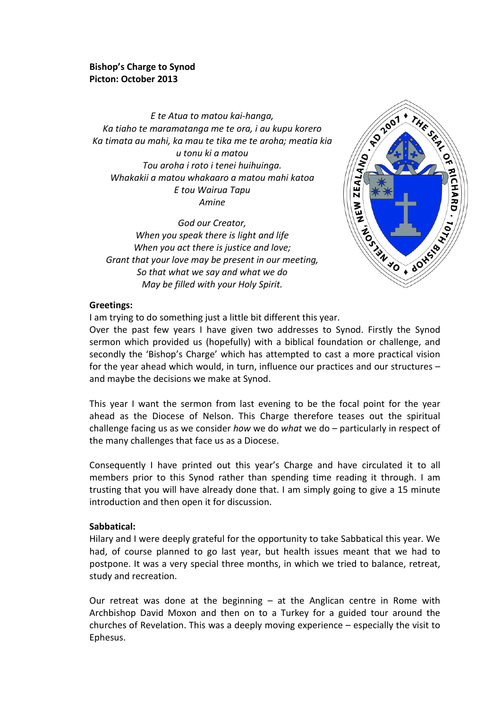### **Bishop's Charge to Synod Picton: October 2013**

*E te Atua to matou kai-hanga, Ka tiaho te maramatanga me te ora, i au kupu korero Ka timata au mahi, ka mau te tika me te aroha; meatia kia u tonu ki a matou Tou aroha i roto i tenei huihuinga. Whakakii a matou whakaaro a matou mahi katoa E tou Wairua Tapu Amine*

*God our Creator, When you speak there is light and life When you act there is justice and love; Grant that your love may be present in our meeting, So that what we say and what we do May be filled with your Holy Spirit.*



#### **Greetings:**

I am trying to do something just a little bit different this year.

Over the past few years I have given two addresses to Synod. Firstly the Synod sermon which provided us (hopefully) with a biblical foundation or challenge, and secondly the 'Bishop's Charge' which has attempted to cast a more practical vision for the year ahead which would, in turn, influence our practices and our structures – and maybe the decisions we make at Synod.

This year I want the sermon from last evening to be the focal point for the year ahead as the Diocese of Nelson. This Charge therefore teases out the spiritual challenge facing us as we consider *how* we do *what* we do – particularly in respect of the many challenges that face us as a Diocese.

Consequently I have printed out this year's Charge and have circulated it to all members prior to this Synod rather than spending time reading it through. I am trusting that you will have already done that. I am simply going to give a 15 minute introduction and then open it for discussion.

#### **Sabbatical:**

Hilary and I were deeply grateful for the opportunity to take Sabbatical this year. We had, of course planned to go last year, but health issues meant that we had to postpone. It was a very special three months, in which we tried to balance, retreat, study and recreation.

Our retreat was done at the beginning  $-$  at the Anglican centre in Rome with Archbishop David Moxon and then on to a Turkey for a guided tour around the churches of Revelation. This was a deeply moving experience – especially the visit to Ephesus.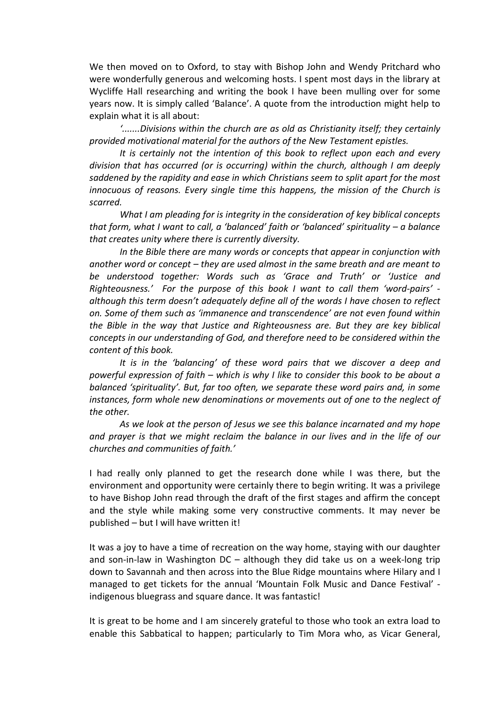We then moved on to Oxford, to stay with Bishop John and Wendy Pritchard who were wonderfully generous and welcoming hosts. I spent most days in the library at Wycliffe Hall researching and writing the book I have been mulling over for some years now. It is simply called 'Balance'. A quote from the introduction might help to explain what it is all about:

*'.......Divisions within the church are as old as Christianity itself; they certainly provided motivational material for the authors of the New Testament epistles.* 

*It is certainly not the intention of this book to reflect upon each and every division that has occurred (or is occurring) within the church, although I am deeply saddened by the rapidity and ease in which Christians seem to split apart for the most innocuous of reasons. Every single time this happens, the mission of the Church is scarred.*

*What I am pleading for is integrity in the consideration of key biblical concepts that form, what I want to call, a 'balanced' faith or 'balanced' spirituality – a balance that creates unity where there is currently diversity.* 

*In the Bible there are many words or concepts that appear in conjunction with another word or concept – they are used almost in the same breath and are meant to be understood together: Words such as 'Grace and Truth' or 'Justice and Righteousness.' For the purpose of this book I want to call them 'word-pairs' although this term doesn't adequately define all of the words I have chosen to reflect on. Some of them such as 'immanence and transcendence' are not even found within the Bible in the way that Justice and Righteousness are. But they are key biblical concepts in our understanding of God, and therefore need to be considered within the content of this book.* 

*It is in the 'balancing' of these word pairs that we discover a deep and powerful expression of faith – which is why I like to consider this book to be about a balanced 'spirituality'. But, far too often, we separate these word pairs and, in some instances, form whole new denominations or movements out of one to the neglect of the other.*

*As we look at the person of Jesus we see this balance incarnated and my hope and prayer is that we might reclaim the balance in our lives and in the life of our churches and communities of faith.'*

I had really only planned to get the research done while I was there, but the environment and opportunity were certainly there to begin writing. It was a privilege to have Bishop John read through the draft of the first stages and affirm the concept and the style while making some very constructive comments. It may never be published – but I will have written it!

It was a joy to have a time of recreation on the way home, staying with our daughter and son-in-law in Washington DC – although they did take us on a week-long trip down to Savannah and then across into the Blue Ridge mountains where Hilary and I managed to get tickets for the annual 'Mountain Folk Music and Dance Festival' indigenous bluegrass and square dance. It was fantastic!

It is great to be home and I am sincerely grateful to those who took an extra load to enable this Sabbatical to happen; particularly to Tim Mora who, as Vicar General,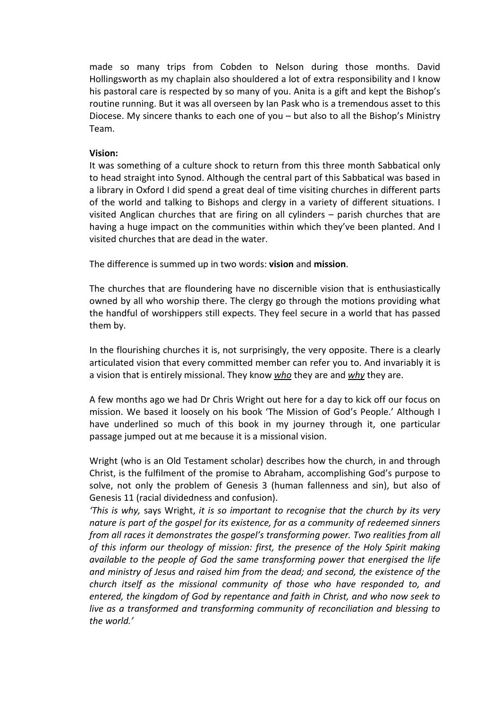made so many trips from Cobden to Nelson during those months. David Hollingsworth as my chaplain also shouldered a lot of extra responsibility and I know his pastoral care is respected by so many of you. Anita is a gift and kept the Bishop's routine running. But it was all overseen by Ian Pask who is a tremendous asset to this Diocese. My sincere thanks to each one of you – but also to all the Bishop's Ministry Team.

#### **Vision:**

It was something of a culture shock to return from this three month Sabbatical only to head straight into Synod. Although the central part of this Sabbatical was based in a library in Oxford I did spend a great deal of time visiting churches in different parts of the world and talking to Bishops and clergy in a variety of different situations. I visited Anglican churches that are firing on all cylinders – parish churches that are having a huge impact on the communities within which they've been planted. And I visited churches that are dead in the water.

The difference is summed up in two words: **vision** and **mission**.

The churches that are floundering have no discernible vision that is enthusiastically owned by all who worship there. The clergy go through the motions providing what the handful of worshippers still expects. They feel secure in a world that has passed them by.

In the flourishing churches it is, not surprisingly, the very opposite. There is a clearly articulated vision that every committed member can refer you to. And invariably it is a vision that is entirely missional. They know *who* they are and *why* they are.

A few months ago we had Dr Chris Wright out here for a day to kick off our focus on mission. We based it loosely on his book 'The Mission of God's People.' Although I have underlined so much of this book in my journey through it, one particular passage jumped out at me because it is a missional vision.

Wright (who is an Old Testament scholar) describes how the church, in and through Christ, is the fulfilment of the promise to Abraham, accomplishing God's purpose to solve, not only the problem of Genesis 3 (human fallenness and sin), but also of Genesis 11 (racial dividedness and confusion).

*'This is why,* says Wright, *it is so important to recognise that the church by its very nature is part of the gospel for its existence, for as a community of redeemed sinners from all races it demonstrates the gospel's transforming power. Two realities from all of this inform our theology of mission: first, the presence of the Holy Spirit making available to the people of God the same transforming power that energised the life and ministry of Jesus and raised him from the dead; and second, the existence of the church itself as the missional community of those who have responded to, and entered, the kingdom of God by repentance and faith in Christ, and who now seek to live as a transformed and transforming community of reconciliation and blessing to the world.'*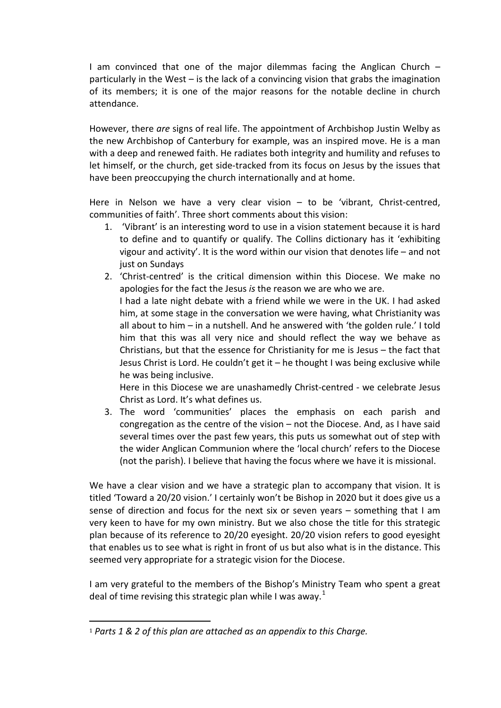I am convinced that one of the major dilemmas facing the Anglican Church – particularly in the West – is the lack of a convincing vision that grabs the imagination of its members; it is one of the major reasons for the notable decline in church attendance.

However, there *are* signs of real life. The appointment of Archbishop Justin Welby as the new Archbishop of Canterbury for example, was an inspired move. He is a man with a deep and renewed faith. He radiates both integrity and humility and refuses to let himself, or the church, get side-tracked from its focus on Jesus by the issues that have been preoccupying the church internationally and at home.

Here in Nelson we have a very clear vision – to be 'vibrant, Christ-centred, communities of faith'. Three short comments about this vision:

- 1. 'Vibrant' is an interesting word to use in a vision statement because it is hard to define and to quantify or qualify. The Collins dictionary has it 'exhibiting vigour and activity'. It is the word within our vision that denotes life – and not just on Sundays
- 2. 'Christ-centred' is the critical dimension within this Diocese. We make no apologies for the fact the Jesus *is* the reason we are who we are.

I had a late night debate with a friend while we were in the UK. I had asked him, at some stage in the conversation we were having, what Christianity was all about to him – in a nutshell. And he answered with 'the golden rule.' I told him that this was all very nice and should reflect the way we behave as Christians, but that the essence for Christianity for me is Jesus – the fact that Jesus Christ is Lord. He couldn't get it – he thought I was being exclusive while he was being inclusive.

Here in this Diocese we are unashamedly Christ-centred - we celebrate Jesus Christ as Lord. It's what defines us.

3. The word 'communities' places the emphasis on each parish and congregation as the centre of the vision – not the Diocese. And, as I have said several times over the past few years, this puts us somewhat out of step with the wider Anglican Communion where the 'local church' refers to the Diocese (not the parish). I believe that having the focus where we have it is missional.

We have a clear vision and we have a strategic plan to accompany that vision. It is titled 'Toward a 20/20 vision.' I certainly won't be Bishop in 2020 but it does give us a sense of direction and focus for the next six or seven years – something that I am very keen to have for my own ministry. But we also chose the title for this strategic plan because of its reference to 20/20 eyesight. 20/20 vision refers to good eyesight that enables us to see what is right in front of us but also what is in the distance. This seemed very appropriate for a strategic vision for the Diocese.

I am very grateful to the members of the Bishop's Ministry Team who spent a great deal of time revising this strategic plan while I was away.<sup>[1](#page-3-0)</sup>

<span id="page-3-0"></span><sup>1</sup> *Parts 1 & 2 of this plan are attached as an appendix to this Charge.* j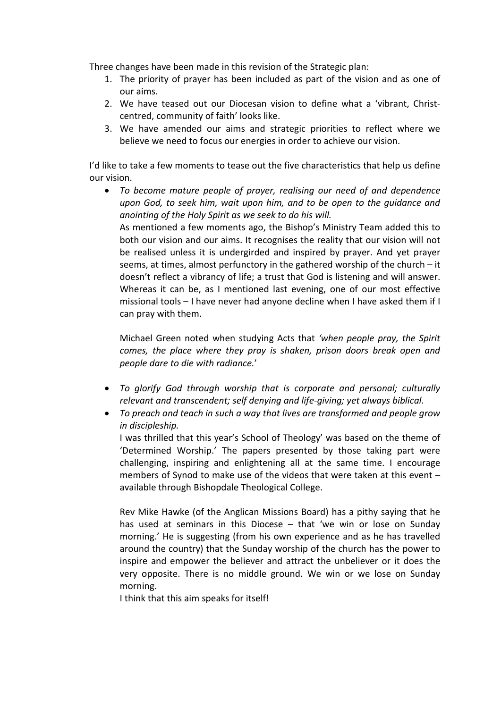Three changes have been made in this revision of the Strategic plan:

- 1. The priority of prayer has been included as part of the vision and as one of our aims.
- 2. We have teased out our Diocesan vision to define what a 'vibrant, Christcentred, community of faith' looks like.
- 3. We have amended our aims and strategic priorities to reflect where we believe we need to focus our energies in order to achieve our vision.

I'd like to take a few moments to tease out the five characteristics that help us define our vision.

• *To become mature people of prayer, realising our need of and dependence upon God, to seek him, wait upon him, and to be open to the guidance and anointing of the Holy Spirit as we seek to do his will.*

As mentioned a few moments ago, the Bishop's Ministry Team added this to both our vision and our aims. It recognises the reality that our vision will not be realised unless it is undergirded and inspired by prayer. And yet prayer seems, at times, almost perfunctory in the gathered worship of the church – it doesn't reflect a vibrancy of life; a trust that God is listening and will answer. Whereas it can be, as I mentioned last evening, one of our most effective missional tools – I have never had anyone decline when I have asked them if I can pray with them.

Michael Green noted when studying Acts that *'when people pray, the Spirit comes, the place where they pray is shaken, prison doors break open and people dare to die with radiance.*'

- *To glorify God through worship that is corporate and personal; culturally relevant and transcendent; self denying and life-giving; yet always biblical.*
- *To preach and teach in such a way that lives are transformed and people grow in discipleship.*

I was thrilled that this year's School of Theology' was based on the theme of 'Determined Worship.' The papers presented by those taking part were challenging, inspiring and enlightening all at the same time. I encourage members of Synod to make use of the videos that were taken at this event – available through Bishopdale Theological College.

Rev Mike Hawke (of the Anglican Missions Board) has a pithy saying that he has used at seminars in this Diocese – that 'we win or lose on Sunday morning.' He is suggesting (from his own experience and as he has travelled around the country) that the Sunday worship of the church has the power to inspire and empower the believer and attract the unbeliever or it does the very opposite. There is no middle ground. We win or we lose on Sunday morning.

I think that this aim speaks for itself!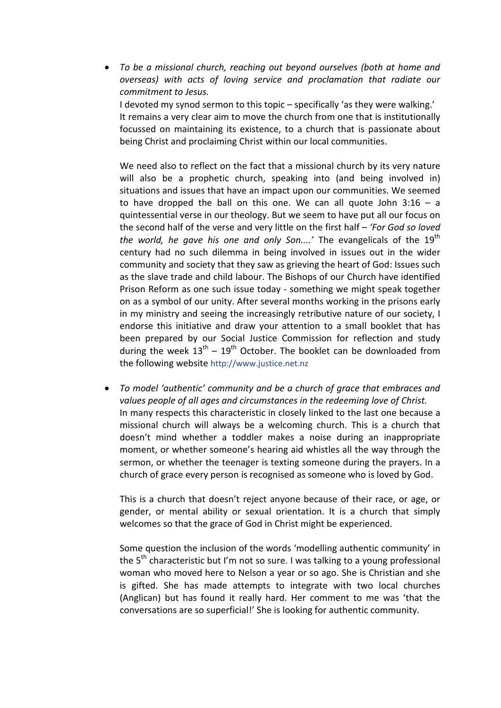• *To be a missional church, reaching out beyond ourselves (both at home and overseas) with acts of loving service and proclamation that radiate our commitment to Jesus.*  I devoted my synod sermon to this topic – specifically 'as they were walking.' It remains a very clear aim to move the church from one that is institutionally focussed on maintaining its existence, to a church that is passionate about being Christ and proclaiming Christ within our local communities.

We need also to reflect on the fact that a missional church by its very nature will also be a prophetic church, speaking into (and being involved in) situations and issues that have an impact upon our communities. We seemed to have dropped the ball on this one. We can all quote John  $3:16 - a$ quintessential verse in our theology. But we seem to have put all our focus on the second half of the verse and very little on the first half – *'For God so loved the world, he gave his one and only Son....'* The evangelicals of the 19<sup>th</sup> century had no such dilemma in being involved in issues out in the wider community and society that they saw as grieving the heart of God: Issues such as the slave trade and child labour. The Bishops of our Church have identified Prison Reform as one such issue today - something we might speak together on as a symbol of our unity. After several months working in the prisons early in my ministry and seeing the increasingly retributive nature of our society, I endorse this initiative and draw your attention to a small booklet that has been prepared by our Social Justice Commission for reflection and study during the week  $13^{th}$  –  $19^{th}$  October. The booklet can be downloaded from the following website http://www.justice.net.nz

• *To model 'authentic' community and be a church of grace that embraces and values people of all ages and circumstances in the redeeming love of Christ.*  In many respects this characteristic in closely linked to the last one because a missional church will always be a welcoming church. This is a church that doesn't mind whether a toddler makes a noise during an inappropriate moment, or whether someone's hearing aid whistles all the way through the sermon, or whether the teenager is texting someone during the prayers. In a church of grace every person is recognised as someone who is loved by God.

This is a church that doesn't reject anyone because of their race, or age, or gender, or mental ability or sexual orientation. It is a church that simply welcomes so that the grace of God in Christ might be experienced.

Some question the inclusion of the words 'modelling authentic community' in the  $5<sup>th</sup>$  characteristic but I'm not so sure. I was talking to a young professional woman who moved here to Nelson a year or so ago. She is Christian and she is gifted. She has made attempts to integrate with two local churches (Anglican) but has found it really hard. Her comment to me was 'that the conversations are so superficial!' She is looking for authentic community.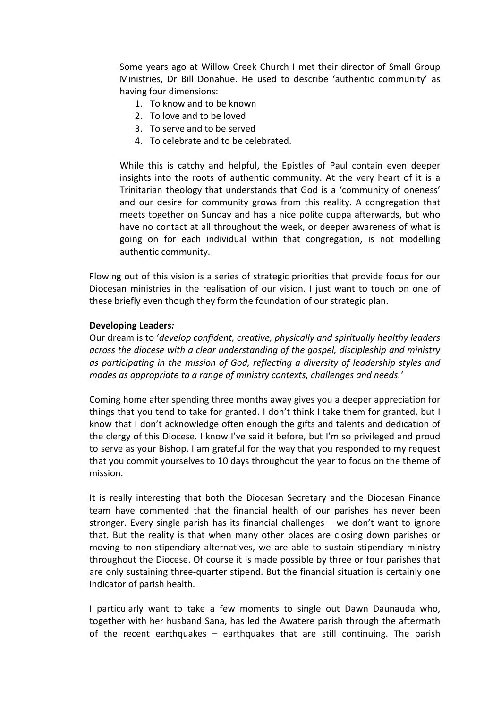Some years ago at Willow Creek Church I met their director of Small Group Ministries, Dr Bill Donahue. He used to describe 'authentic community' as having four dimensions:

- 1. To know and to be known
- 2. To love and to be loved
- 3. To serve and to be served
- 4. To celebrate and to be celebrated.

While this is catchy and helpful, the Epistles of Paul contain even deeper insights into the roots of authentic community. At the very heart of it is a Trinitarian theology that understands that God is a 'community of oneness' and our desire for community grows from this reality. A congregation that meets together on Sunday and has a nice polite cuppa afterwards, but who have no contact at all throughout the week, or deeper awareness of what is going on for each individual within that congregation, is not modelling authentic community.

Flowing out of this vision is a series of strategic priorities that provide focus for our Diocesan ministries in the realisation of our vision. I just want to touch on one of these briefly even though they form the foundation of our strategic plan.

#### **Developing Leaders***:*

Our dream is to '*develop confident, creative, physically and spiritually healthy leaders across the diocese with a clear understanding of the gospel, discipleship and ministry as participating in the mission of God, reflecting a diversity of leadership styles and modes as appropriate to a range of ministry contexts, challenges and needs.'*

Coming home after spending three months away gives you a deeper appreciation for things that you tend to take for granted. I don't think I take them for granted, but I know that I don't acknowledge often enough the gifts and talents and dedication of the clergy of this Diocese. I know I've said it before, but I'm so privileged and proud to serve as your Bishop. I am grateful for the way that you responded to my request that you commit yourselves to 10 days throughout the year to focus on the theme of mission.

It is really interesting that both the Diocesan Secretary and the Diocesan Finance team have commented that the financial health of our parishes has never been stronger. Every single parish has its financial challenges – we don't want to ignore that. But the reality is that when many other places are closing down parishes or moving to non-stipendiary alternatives, we are able to sustain stipendiary ministry throughout the Diocese. Of course it is made possible by three or four parishes that are only sustaining three-quarter stipend. But the financial situation is certainly one indicator of parish health.

I particularly want to take a few moments to single out Dawn Daunauda who, together with her husband Sana, has led the Awatere parish through the aftermath of the recent earthquakes – earthquakes that are still continuing. The parish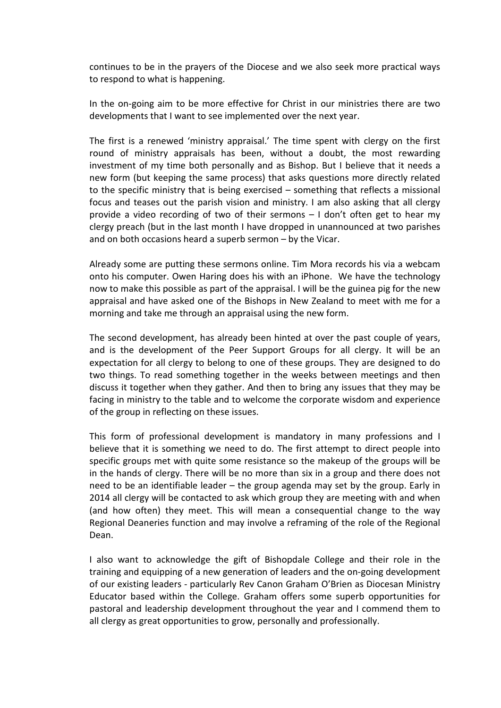continues to be in the prayers of the Diocese and we also seek more practical ways to respond to what is happening.

In the on-going aim to be more effective for Christ in our ministries there are two developments that I want to see implemented over the next year.

The first is a renewed 'ministry appraisal.' The time spent with clergy on the first round of ministry appraisals has been, without a doubt, the most rewarding investment of my time both personally and as Bishop. But I believe that it needs a new form (but keeping the same process) that asks questions more directly related to the specific ministry that is being exercised – something that reflects a missional focus and teases out the parish vision and ministry. I am also asking that all clergy provide a video recording of two of their sermons – I don't often get to hear my clergy preach (but in the last month I have dropped in unannounced at two parishes and on both occasions heard a superb sermon – by the Vicar.

Already some are putting these sermons online. Tim Mora records his via a webcam onto his computer. Owen Haring does his with an iPhone. We have the technology now to make this possible as part of the appraisal. I will be the guinea pig for the new appraisal and have asked one of the Bishops in New Zealand to meet with me for a morning and take me through an appraisal using the new form.

The second development, has already been hinted at over the past couple of years, and is the development of the Peer Support Groups for all clergy. It will be an expectation for all clergy to belong to one of these groups. They are designed to do two things. To read something together in the weeks between meetings and then discuss it together when they gather. And then to bring any issues that they may be facing in ministry to the table and to welcome the corporate wisdom and experience of the group in reflecting on these issues.

This form of professional development is mandatory in many professions and I believe that it is something we need to do. The first attempt to direct people into specific groups met with quite some resistance so the makeup of the groups will be in the hands of clergy. There will be no more than six in a group and there does not need to be an identifiable leader – the group agenda may set by the group. Early in 2014 all clergy will be contacted to ask which group they are meeting with and when (and how often) they meet. This will mean a consequential change to the way Regional Deaneries function and may involve a reframing of the role of the Regional Dean.

I also want to acknowledge the gift of Bishopdale College and their role in the training and equipping of a new generation of leaders and the on-going development of our existing leaders - particularly Rev Canon Graham O'Brien as Diocesan Ministry Educator based within the College. Graham offers some superb opportunities for pastoral and leadership development throughout the year and I commend them to all clergy as great opportunities to grow, personally and professionally.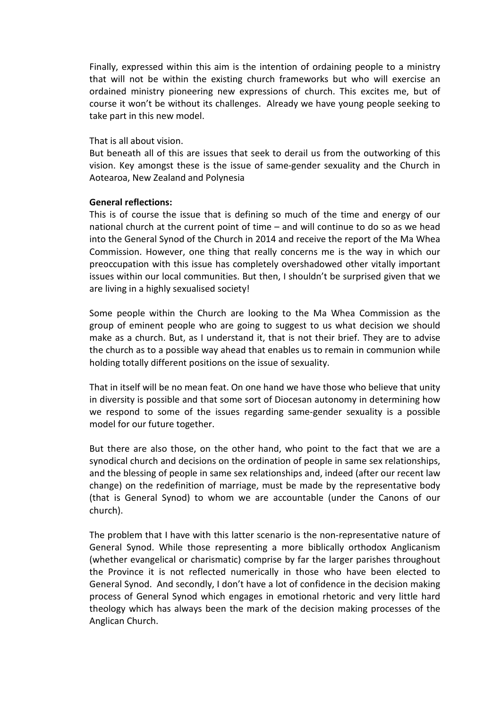Finally, expressed within this aim is the intention of ordaining people to a ministry that will not be within the existing church frameworks but who will exercise an ordained ministry pioneering new expressions of church. This excites me, but of course it won't be without its challenges. Already we have young people seeking to take part in this new model.

#### That is all about vision.

But beneath all of this are issues that seek to derail us from the outworking of this vision. Key amongst these is the issue of same-gender sexuality and the Church in Aotearoa, New Zealand and Polynesia

#### **General reflections:**

This is of course the issue that is defining so much of the time and energy of our national church at the current point of time – and will continue to do so as we head into the General Synod of the Church in 2014 and receive the report of the Ma Whea Commission. However, one thing that really concerns me is the way in which our preoccupation with this issue has completely overshadowed other vitally important issues within our local communities. But then, I shouldn't be surprised given that we are living in a highly sexualised society!

Some people within the Church are looking to the Ma Whea Commission as the group of eminent people who are going to suggest to us what decision we should make as a church. But, as I understand it, that is not their brief. They are to advise the church as to a possible way ahead that enables us to remain in communion while holding totally different positions on the issue of sexuality.

That in itself will be no mean feat. On one hand we have those who believe that unity in diversity is possible and that some sort of Diocesan autonomy in determining how we respond to some of the issues regarding same-gender sexuality is a possible model for our future together.

But there are also those, on the other hand, who point to the fact that we are a synodical church and decisions on the ordination of people in same sex relationships, and the blessing of people in same sex relationships and, indeed (after our recent law change) on the redefinition of marriage, must be made by the representative body (that is General Synod) to whom we are accountable (under the Canons of our church).

The problem that I have with this latter scenario is the non-representative nature of General Synod. While those representing a more biblically orthodox Anglicanism (whether evangelical or charismatic) comprise by far the larger parishes throughout the Province it is not reflected numerically in those who have been elected to General Synod. And secondly, I don't have a lot of confidence in the decision making process of General Synod which engages in emotional rhetoric and very little hard theology which has always been the mark of the decision making processes of the Anglican Church.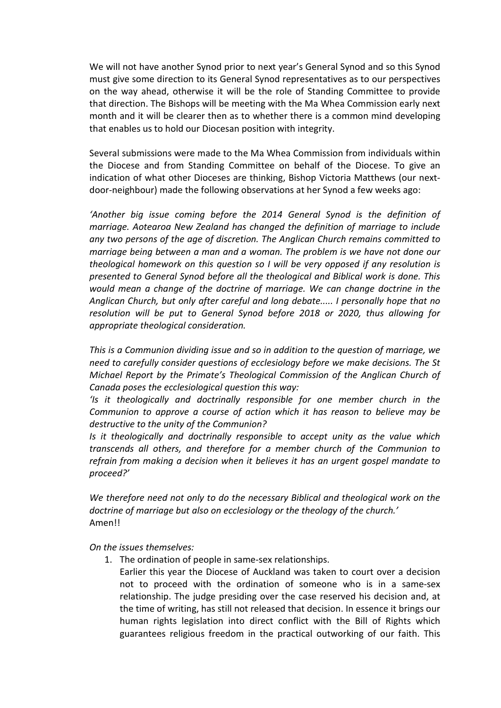We will not have another Synod prior to next year's General Synod and so this Synod must give some direction to its General Synod representatives as to our perspectives on the way ahead, otherwise it will be the role of Standing Committee to provide that direction. The Bishops will be meeting with the Ma Whea Commission early next month and it will be clearer then as to whether there is a common mind developing that enables us to hold our Diocesan position with integrity.

Several submissions were made to the Ma Whea Commission from individuals within the Diocese and from Standing Committee on behalf of the Diocese. To give an indication of what other Dioceses are thinking, Bishop Victoria Matthews (our nextdoor-neighbour) made the following observations at her Synod a few weeks ago:

*'Another big issue coming before the 2014 General Synod is the definition of marriage. Aotearoa New Zealand has changed the definition of marriage to include any two persons of the age of discretion. The Anglican Church remains committed to marriage being between a man and a woman. The problem is we have not done our theological homework on this question so I will be very opposed if any resolution is presented to General Synod before all the theological and Biblical work is done. This would mean a change of the doctrine of marriage. We can change doctrine in the Anglican Church, but only after careful and long debate..... I personally hope that no resolution will be put to General Synod before 2018 or 2020, thus allowing for appropriate theological consideration.* 

*This is a Communion dividing issue and so in addition to the question of marriage, we need to carefully consider questions of ecclesiology before we make decisions. The St Michael Report by the Primate's Theological Commission of the Anglican Church of Canada poses the ecclesiological question this way:*

*'Is it theologically and doctrinally responsible for one member church in the Communion to approve a course of action which it has reason to believe may be destructive to the unity of the Communion?*

*Is it theologically and doctrinally responsible to accept unity as the value which transcends all others, and therefore for a member church of the Communion to refrain from making a decision when it believes it has an urgent gospel mandate to proceed?'*

*We therefore need not only to do the necessary Biblical and theological work on the doctrine of marriage but also on ecclesiology or the theology of the church.'* Amen!!

*On the issues themselves:*

1. The ordination of people in same-sex relationships.

Earlier this year the Diocese of Auckland was taken to court over a decision not to proceed with the ordination of someone who is in a same-sex relationship. The judge presiding over the case reserved his decision and, at the time of writing, has still not released that decision. In essence it brings our human rights legislation into direct conflict with the Bill of Rights which guarantees religious freedom in the practical outworking of our faith. This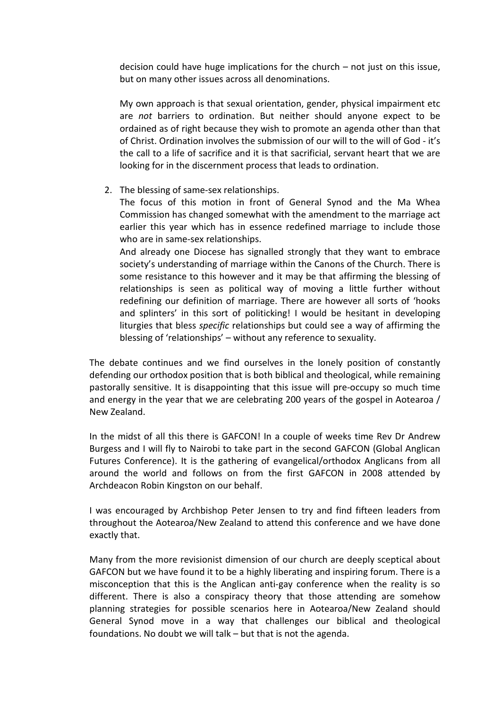decision could have huge implications for the church – not just on this issue, but on many other issues across all denominations.

My own approach is that sexual orientation, gender, physical impairment etc are *not* barriers to ordination. But neither should anyone expect to be ordained as of right because they wish to promote an agenda other than that of Christ. Ordination involves the submission of our will to the will of God - it's the call to a life of sacrifice and it is that sacrificial, servant heart that we are looking for in the discernment process that leads to ordination.

2. The blessing of same-sex relationships.

The focus of this motion in front of General Synod and the Ma Whea Commission has changed somewhat with the amendment to the marriage act earlier this year which has in essence redefined marriage to include those who are in same-sex relationships.

And already one Diocese has signalled strongly that they want to embrace society's understanding of marriage within the Canons of the Church. There is some resistance to this however and it may be that affirming the blessing of relationships is seen as political way of moving a little further without redefining our definition of marriage. There are however all sorts of 'hooks and splinters' in this sort of politicking! I would be hesitant in developing liturgies that bless *specific* relationships but could see a way of affirming the blessing of 'relationships' – without any reference to sexuality.

The debate continues and we find ourselves in the lonely position of constantly defending our orthodox position that is both biblical and theological, while remaining pastorally sensitive. It is disappointing that this issue will pre-occupy so much time and energy in the year that we are celebrating 200 years of the gospel in Aotearoa / New Zealand.

In the midst of all this there is GAFCON! In a couple of weeks time Rev Dr Andrew Burgess and I will fly to Nairobi to take part in the second GAFCON (Global Anglican Futures Conference). It is the gathering of evangelical/orthodox Anglicans from all around the world and follows on from the first GAFCON in 2008 attended by Archdeacon Robin Kingston on our behalf.

I was encouraged by Archbishop Peter Jensen to try and find fifteen leaders from throughout the Aotearoa/New Zealand to attend this conference and we have done exactly that.

Many from the more revisionist dimension of our church are deeply sceptical about GAFCON but we have found it to be a highly liberating and inspiring forum. There is a misconception that this is the Anglican anti-gay conference when the reality is so different. There is also a conspiracy theory that those attending are somehow planning strategies for possible scenarios here in Aotearoa/New Zealand should General Synod move in a way that challenges our biblical and theological foundations. No doubt we will talk – but that is not the agenda.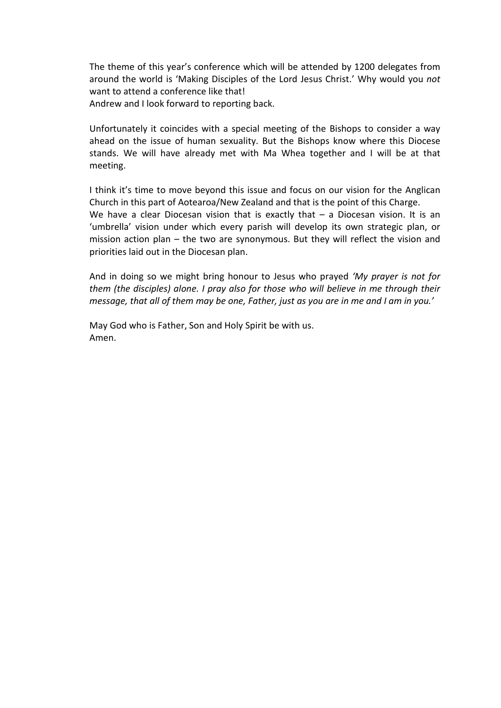The theme of this year's conference which will be attended by 1200 delegates from around the world is 'Making Disciples of the Lord Jesus Christ.' Why would you *not* want to attend a conference like that! Andrew and I look forward to reporting back.

Unfortunately it coincides with a special meeting of the Bishops to consider a way ahead on the issue of human sexuality. But the Bishops know where this Diocese stands. We will have already met with Ma Whea together and I will be at that meeting.

I think it's time to move beyond this issue and focus on our vision for the Anglican Church in this part of Aotearoa/New Zealand and that is the point of this Charge. We have a clear Diocesan vision that is exactly that  $-$  a Diocesan vision. It is an 'umbrella' vision under which every parish will develop its own strategic plan, or mission action plan – the two are synonymous. But they will reflect the vision and priorities laid out in the Diocesan plan.

And in doing so we might bring honour to Jesus who prayed *'My prayer is not for them (the disciples) alone. I pray also for those who will believe in me through their message, that all of them may be one, Father, just as you are in me and I am in you.'*

May God who is Father, Son and Holy Spirit be with us. Amen.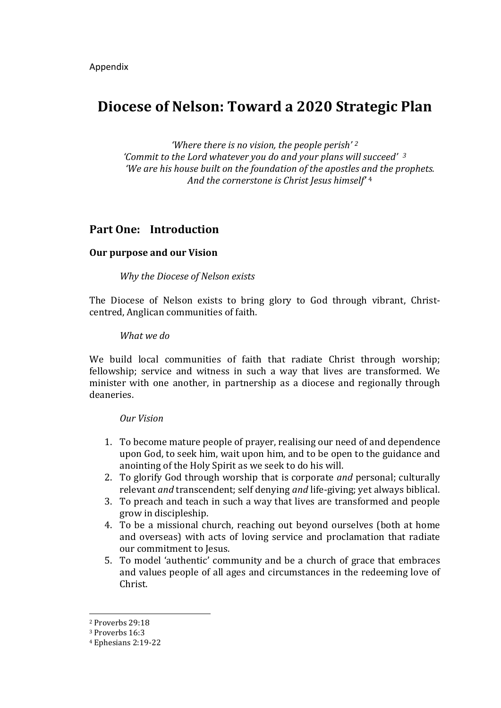# **Diocese of Nelson: Toward a 2020 Strategic Plan**

*'Where there is no vision, the people perish' [2](#page-12-0) 'Commit to the Lord whatever you do and your plans will succeed' [3](#page-12-1) 'We are his house built on the foundation of the apostles a[nd](#page-12-2) the prophets. And the cornerstone is Christ Jesus himself'* <sup>4</sup>

# **Part One: Introduction**

#### **Our purpose and our Vision**

*Why the Diocese of Nelson exists*

The Diocese of Nelson exists to bring glory to God through vibrant, Christcentred, Anglican communities of faith.

#### *What we do*

We build local communities of faith that radiate Christ through worship; fellowship; service and witness in such a way that lives are transformed. We minister with one another, in partnership as a diocese and regionally through deaneries.

#### *Our Vision*

- 1. To become mature people of prayer, realising our need of and dependence upon God, to seek him, wait upon him, and to be open to the guidance and anointing of the Holy Spirit as we seek to do his will.
- 2. To glorify God through worship that is corporate *and* personal; culturally relevant *and* transcendent; self denying *and* life-giving; yet always biblical.
- 3. To preach and teach in such a way that lives are transformed and people grow in discipleship.
- 4. To be a missional church, reaching out beyond ourselves (both at home and overseas) with acts of loving service and proclamation that radiate our commitment to Jesus.
- 5. To model 'authentic' community and be a church of grace that embraces and values people of all ages and circumstances in the redeeming love of Christ.

<sup>2</sup> Proverbs 29:18 j

<span id="page-12-1"></span><span id="page-12-0"></span><sup>3</sup> Proverbs 16:3

<span id="page-12-2"></span><sup>4</sup> Ephesians 2:19-22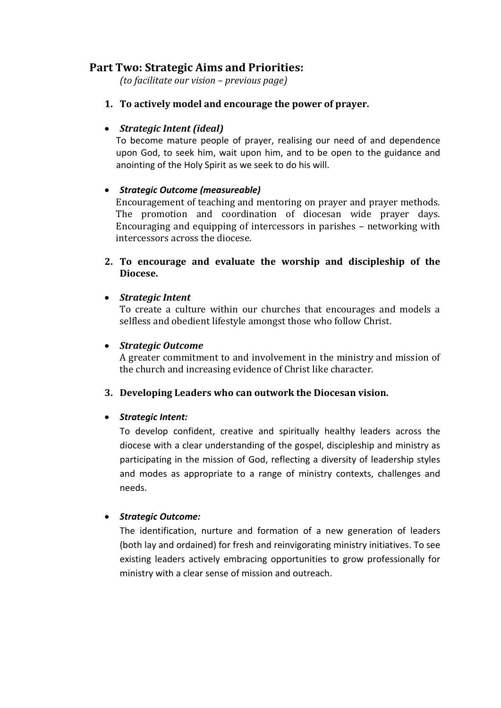# **Part Two: Strategic Aims and Priorities:**

*(to facilitate our vision – previous page)*

**1. To actively model and encourage the power of prayer.**

# • *Strategic Intent (ideal)*

To become mature people of prayer, realising our need of and dependence upon God, to seek him, wait upon him, and to be open to the guidance and anointing of the Holy Spirit as we seek to do his will.

# • *Strategic Outcome (measureable)*

Encouragement of teaching and mentoring on prayer and prayer methods. The promotion and coordination of diocesan wide prayer days. Encouraging and equipping of intercessors in parishes – networking with intercessors across the diocese.

**2. To encourage and evaluate the worship and discipleship of the Diocese.**

#### • *Strategic Intent*

To create a culture within our churches that encourages and models a selfless and obedient lifestyle amongst those who follow Christ.

#### • *Strategic Outcome*

A greater commitment to and involvement in the ministry and mission of the church and increasing evidence of Christ like character.

# **3. Developing Leaders who can outwork the Diocesan vision.**

#### • *Strategic Intent:*

To develop confident, creative and spiritually healthy leaders across the diocese with a clear understanding of the gospel, discipleship and ministry as participating in the mission of God, reflecting a diversity of leadership styles and modes as appropriate to a range of ministry contexts, challenges and needs.

# • *Strategic Outcome:*

The identification, nurture and formation of a new generation of leaders (both lay and ordained) for fresh and reinvigorating ministry initiatives. To see existing leaders actively embracing opportunities to grow professionally for ministry with a clear sense of mission and outreach.